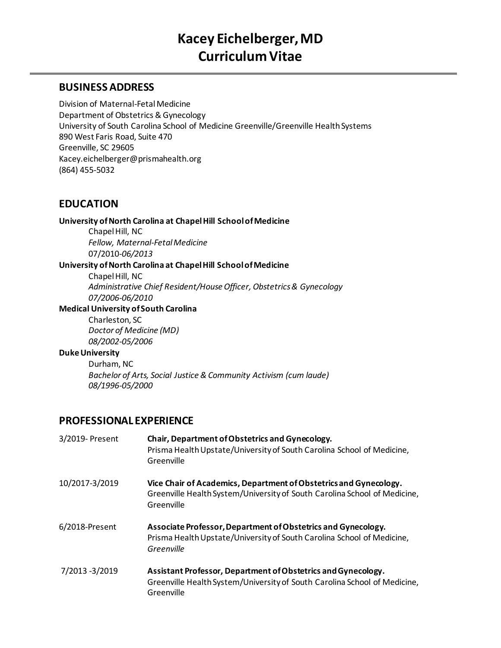### **BUSINESSADDRESS**

Division of Maternal-Fetal Medicine Department of Obstetrics & Gynecology University of South Carolina School of Medicine Greenville/Greenville Health Systems 890 West Faris Road, Suite 470 Greenville, SC 29605 Kacey.eichelberger@prismahealth.org (864) 455-5032

## **EDUCATION**

#### **University of North Carolina at Chapel Hill School of Medicine**

Chapel Hill, NC *Fellow, Maternal-Fetal Medicine* 07/2010-*06/2013*

### **University of North Carolina at Chapel Hill School of Medicine**

Chapel Hill, NC *Administrative Chief Resident/House Officer, Obstetrics & Gynecology 07/2006-06/2010*

#### **Medical University of South Carolina**

Charleston, SC *Doctor of Medicine (MD) 08/2002-05/2006*

#### **Duke University**

Durham, NC *Bachelor of Arts, Social Justice & Community Activism (cum laude) 08/1996-05/2000*

## **PROFESSIONAL EXPERIENCE**

| 3/2019- Present | Chair, Department of Obstetrics and Gynecology.<br>Prisma Health Upstate/University of South Carolina School of Medicine,<br>Greenville                      |
|-----------------|--------------------------------------------------------------------------------------------------------------------------------------------------------------|
| 10/2017-3/2019  | Vice Chair of Academics, Department of Obstetrics and Gynecology.<br>Greenville Health System/University of South Carolina School of Medicine,<br>Greenville |
| 6/2018-Present  | Associate Professor, Department of Obstetrics and Gynecology.<br>Prisma Health Upstate/University of South Carolina School of Medicine,<br>Greenville        |
| 7/2013 -3/2019  | Assistant Professor, Department of Obstetrics and Gynecology.<br>Greenville Health System/University of South Carolina School of Medicine,<br>Greenville     |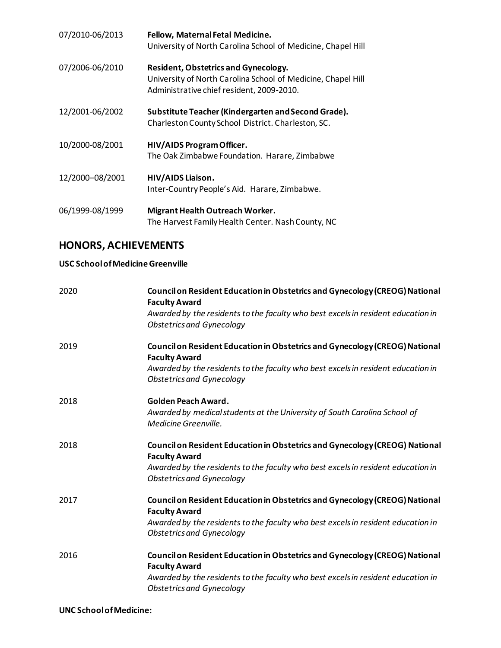| 07/2010-06/2013 | Fellow, Maternal Fetal Medicine.<br>University of North Carolina School of Medicine, Chapel Hill                                                  |
|-----------------|---------------------------------------------------------------------------------------------------------------------------------------------------|
| 07/2006-06/2010 | Resident, Obstetrics and Gynecology.<br>University of North Carolina School of Medicine, Chapel Hill<br>Administrative chief resident, 2009-2010. |
| 12/2001-06/2002 | Substitute Teacher (Kindergarten and Second Grade).<br>Charleston County School District. Charleston, SC.                                         |
| 10/2000-08/2001 | HIV/AIDS Program Officer.<br>The Oak Zimbabwe Foundation. Harare, Zimbabwe                                                                        |
| 12/2000-08/2001 | HIV/AIDS Liaison.<br>Inter-Country People's Aid. Harare, Zimbabwe.                                                                                |
| 06/1999-08/1999 | <b>Migrant Health Outreach Worker.</b><br>The Harvest Family Health Center. Nash County, NC                                                       |

# **HONORS, ACHIEVEMENTS**

### **USC School of Medicine Greenville**

| 2020 | Council on Resident Education in Obstetrics and Gynecology (CREOG) National<br><b>Faculty Award</b>                  |
|------|----------------------------------------------------------------------------------------------------------------------|
|      | Awarded by the residents to the faculty who best excels in resident education in<br><b>Obstetrics and Gynecology</b> |
| 2019 | Council on Resident Education in Obstetrics and Gynecology (CREOG) National<br><b>Faculty Award</b>                  |
|      | Awarded by the residents to the faculty who best excels in resident education in<br><b>Obstetrics and Gynecology</b> |
| 2018 | Golden Peach Award.                                                                                                  |
|      | Awarded by medical students at the University of South Carolina School of                                            |
|      | Medicine Greenville.                                                                                                 |
| 2018 | Council on Resident Education in Obstetrics and Gynecology (CREOG) National                                          |
|      | <b>Faculty Award</b>                                                                                                 |
|      | Awarded by the residents to the faculty who best excels in resident education in<br><b>Obstetrics and Gynecology</b> |
| 2017 | Council on Resident Education in Obstetrics and Gynecology (CREOG) National<br><b>Faculty Award</b>                  |
|      | Awarded by the residents to the faculty who best excels in resident education in<br><b>Obstetrics and Gynecology</b> |
| 2016 | Council on Resident Education in Obstetrics and Gynecology (CREOG) National<br><b>Faculty Award</b>                  |
|      | Awarded by the residents to the faculty who best excels in resident education in<br><b>Obstetrics and Gynecology</b> |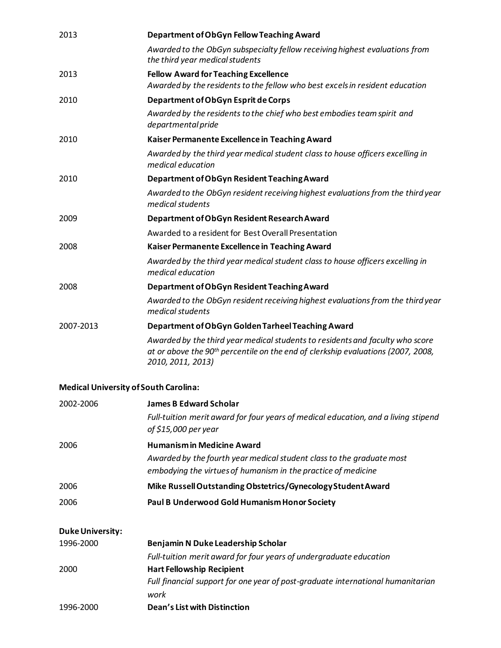| 2013      | Department of ObGyn Fellow Teaching Award                                                                                                                                                          |
|-----------|----------------------------------------------------------------------------------------------------------------------------------------------------------------------------------------------------|
|           | Awarded to the ObGyn subspecialty fellow receiving highest evaluations from<br>the third year medical students                                                                                     |
| 2013      | <b>Fellow Award for Teaching Excellence</b><br>Awarded by the residents to the fellow who best excels in resident education                                                                        |
| 2010      | Department of ObGyn Esprit de Corps                                                                                                                                                                |
|           | Awarded by the residents to the chief who best embodies team spirit and<br>departmental pride                                                                                                      |
| 2010      | Kaiser Permanente Excellence in Teaching Award                                                                                                                                                     |
|           | Awarded by the third year medical student class to house officers excelling in<br>medical education                                                                                                |
| 2010      | Department of ObGyn Resident Teaching Award                                                                                                                                                        |
|           | Awarded to the ObGyn resident receiving highest evaluations from the third year<br>medical students                                                                                                |
| 2009      | Department of ObGyn Resident Research Award                                                                                                                                                        |
|           | Awarded to a resident for Best Overall Presentation                                                                                                                                                |
| 2008      | Kaiser Permanente Excellence in Teaching Award                                                                                                                                                     |
|           | Awarded by the third year medical student class to house officers excelling in<br>medical education                                                                                                |
| 2008      | Department of ObGyn Resident Teaching Award                                                                                                                                                        |
|           | Awarded to the ObGyn resident receiving highest evaluations from the third year<br>medical students                                                                                                |
| 2007-2013 | Department of ObGyn Golden Tarheel Teaching Award                                                                                                                                                  |
|           | Awarded by the third year medical students to residents and faculty who score<br>at or above the 90 <sup>th</sup> percentile on the end of clerkship evaluations (2007, 2008,<br>2010, 2011, 2013) |

### **Medical University of South Carolina:**

| 2002-2006               | <b>James B Edward Scholar</b>                                                                              |
|-------------------------|------------------------------------------------------------------------------------------------------------|
|                         | Full-tuition merit award for four years of medical education, and a living stipend<br>of \$15,000 per year |
| 2006                    | <b>Humanism in Medicine Award</b>                                                                          |
|                         | Awarded by the fourth year medical student class to the graduate most                                      |
|                         | embodying the virtues of humanism in the practice of medicine                                              |
| 2006                    | Mike Russell Outstanding Obstetrics/Gynecology Student Award                                               |
| 2006                    | Paul B Underwood Gold Humanism Honor Society                                                               |
| <b>Duke University:</b> |                                                                                                            |
| 1996-2000               | Benjamin N Duke Leadership Scholar                                                                         |
|                         | Full-tuition merit award for four years of undergraduate education                                         |
| 2000                    | <b>Hart Fellowship Recipient</b>                                                                           |
|                         | Full financial support for one year of post-graduate international humanitarian<br>work                    |
| 1996-2000               | Dean's List with Distinction                                                                               |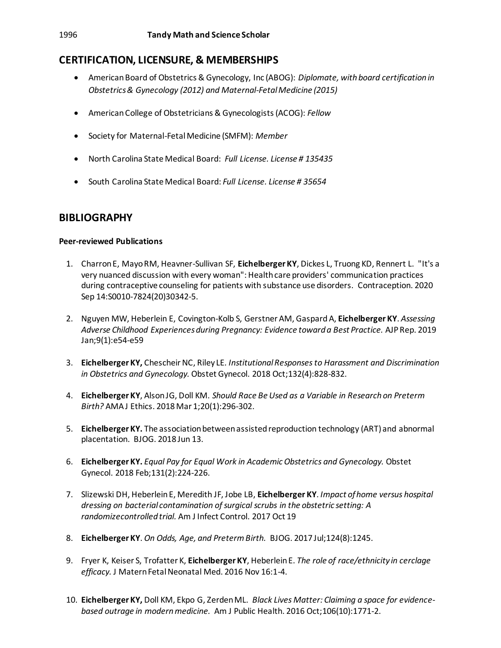# **CERTIFICATION, LICENSURE, & MEMBERSHIPS**

- American Board of Obstetrics & Gynecology, Inc (ABOG): *Diplomate, with board certification in Obstetrics & Gynecology (2012) and Maternal-Fetal Medicine (2015)*
- American College of Obstetricians & Gynecologists (ACOG): *Fellow*
- Society for Maternal-Fetal Medicine (SMFM): *Member*
- North Carolina State Medical Board: *Full License. License # 135435*
- South Carolina State Medical Board: *Full License. License # 35654*

## **BIBLIOGRAPHY**

### **Peer-reviewed Publications**

- 1. Charron E, Mayo RM, Heavner-Sullivan SF, **Eichelberger KY**, Dickes L, Truong KD, Rennert L. "It's a very nuanced discussion with every woman": Health care providers' communication practices during contraceptive counseling for patients with substance use disorders. Contraception. 2020 Sep 14:S0010-7824(20)30342-5.
- 2. Nguyen MW, Heberlein E, Covington-Kolb S, Gerstner AM, GaspardA, **Eichelberger KY**. *Assessing Adverse Childhood Experiencesduring Pregnancy: Evidence toward a Best Practice.* AJP Rep. 2019 Jan;9(1):e54-e59
- 3. **Eichelberger KY,** Chescheir NC, Riley LE*. Institutional Responses to Harassment and Discrimination in Obstetrics and Gynecology.* Obstet Gynecol. 2018 Oct;132(4):828-832.
- 4. **Eichelberger KY**, Alson JG, Doll KM. *Should Race Be Used as a Variable in Research on Preterm Birth?* AMA J Ethics. 2018 Mar 1;20(1):296-302.
- 5. **Eichelberger KY.** The association between assisted reproduction technology (ART) and abnormal placentation. BJOG. 2018 Jun 13.
- 6. **Eichelberger KY.** *Equal Pay for Equal Work in Academic Obstetrics and Gynecology.* Obstet Gynecol. 2018 Feb;131(2):224-226.
- 7. Slizewski DH, Heberlein E, Meredith JF, Jobe LB, **Eichelberger KY**. *Impact of home versus hospital dressing on bacterial contamination of surgical scrubs in the obstetric setting: A randomizecontrolled trial.* Am J Infect Control. 2017 Oct 19
- 8. **Eichelberger KY**. *On Odds, Age, and Preterm Birth.* BJOG. 2017 Jul;124(8):1245.
- 9. Fryer K, Keiser S, Trofatter K, **Eichelberger KY**, Heberlein E. *The role of race/ethnicity in cerclage efficacy.* J Matern Fetal Neonatal Med. 2016 Nov 16:1-4.
- 10. **Eichelberger KY,** Doll KM, Ekpo G, Zerden ML. *Black Lives Matter: Claiming a space for evidencebased outrage in modern medicine.* Am J Public Health. 2016 Oct;106(10):1771-2.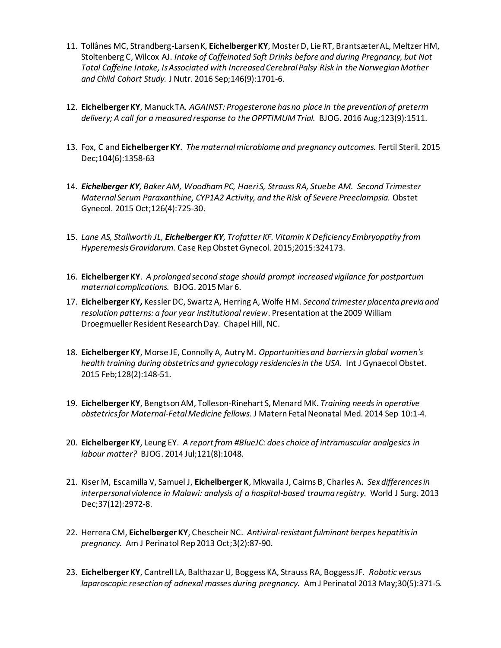- 11. Tollånes MC, Strandberg-Larsen K, **Eichelberger KY**, Moster D, Lie RT, Brantsæter AL, Meltzer HM, Stoltenberg C, Wilcox AJ*. Intake of Caffeinated Soft Drinks before and during Pregnancy, but Not Total Caffeine Intake, Is Associated with Increased Cerebral Palsy Risk in the Norwegian Mother and Child Cohort Study.* J Nutr. 2016 Sep;146(9):1701-6.
- 12. **Eichelberger KY**, Manuck TA*. AGAINST: Progesterone has no place in the prevention of preterm delivery; A call for a measured response to the OPPTIMUM Trial.* BJOG. 2016 Aug;123(9):1511.
- 13. Fox, C and **Eichelberger KY**. *The maternal microbiome and pregnancy outcomes.* Fertil Steril. 2015 Dec;104(6):1358-63
- 14. *Eichelberger KY, Baker AM, Woodham PC, Haeri S, Strauss RA, Stuebe AM. Second Trimester Maternal Serum Paraxanthine, CYP1A2 Activity, and the Risk of Severe Preeclampsia.* Obstet Gynecol. 2015 Oct;126(4):725-30.
- 15. *Lane AS, Stallworth JL, Eichelberger KY, Trofatter KF[. Vitamin K Deficiency Embryopathy from](http://www.ncbi.nlm.nih.gov/pubmed/26347836)  [Hyperemesis Gravidarum.](http://www.ncbi.nlm.nih.gov/pubmed/26347836)* Case Rep Obstet Gynecol. 2015;2015:324173.
- 16. **Eichelberger KY**. *[A prolonged second stage should prompt increased vigilance for postpartum](http://www.ncbi.nlm.nih.gov/pubmed/25753042)  [maternal complications.](http://www.ncbi.nlm.nih.gov/pubmed/25753042)* BJOG. 2015 Mar 6.
- 17. **Eichelberger KY,** Kessler DC, Swartz A, Herring A, Wolfe HM. *Second trimester placenta previa and resolution patterns: a four year institutional review*. Presentation at the 2009 William Droegmueller Resident Research Day. Chapel Hill, NC.
- 18. **Eichelberger KY**, Morse JE, Connolly A, Autry M. *[Opportunities and barriers in global women's](http://www.ncbi.nlm.nih.gov/pubmed/25476152)  [health training during obstetrics and gynecology residencies in the USA.](http://www.ncbi.nlm.nih.gov/pubmed/25476152)* Int J Gynaecol Obstet. 2015 Feb;128(2):148-51.
- 19. **Eichelberger KY**, Bengtson AM, Tolleson-Rinehart S, Menard MK. *Training needs in operative obstetrics for Maternal-Fetal Medicine fellows.* J Matern Fetal Neonatal Med. 2014 Sep 10:1-4.
- 20. **Eichelberger KY**, Leung EY. *[A report from #BlueJC: does choice of intramuscular analgesics in](http://www.ncbi.nlm.nih.gov/pubmed/24958573)  [labour matter?](http://www.ncbi.nlm.nih.gov/pubmed/24958573)* BJOG. 2014 Jul;121(8):1048.
- 21. Kiser M, Escamilla V, Samuel J, **Eichelberger K**, Mkwaila J, Cairns B, Charles A. *Sex differences in interpersonal violence in Malawi: analysis of a hospital-based trauma registry.* World J Surg. 2013 Dec;37(12):2972-8.
- 22. Herrera CM, **Eichelberger KY**, Chescheir NC. *Antiviral-resistant fulminant herpes hepatitis in pregnancy.* Am J Perinatol Rep 2013 Oct;3(2):87-90.
- 23. **Eichelberger KY**, Cantrell LA, Balthazar U, Boggess KA, Strauss RA, Boggess JF. *Robotic versus laparoscopic resection of adnexal masses during pregnancy.* Am J Perinatol 2013 May;30(5):371-5.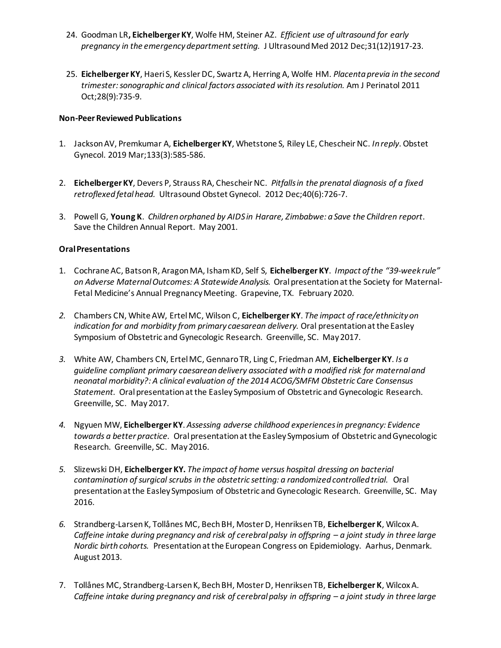- 24. Goodman LR**, Eichelberger KY**, Wolfe HM, Steiner AZ. *Efficient use of ultrasound for early pregnancy in the emergency department setting.* J Ultrasound Med 2012 Dec;31(12)1917-23.
- 25. **Eichelberger KY**, Haeri S, Kessler DC, Swartz A, Herring A, Wolfe HM. *Placenta previa in the second trimester: sonographic and clinical factors associated with its resolution.* Am J Perinatol 2011 Oct;28(9):735-9.

#### **Non-Peer Reviewed Publications**

- 1. Jackson AV, Premkumar A, **Eichelberger KY**, Whetstone S, Riley LE, Chescheir NC. *In reply*. Obstet Gynecol. 2019 Mar;133(3):585-586.
- 2. **Eichelberger KY**, Devers P, Strauss RA, Chescheir NC. *Pitfalls in the prenatal diagnosis of a fixed retroflexed fetal head.* Ultrasound Obstet Gynecol. 2012 Dec;40(6):726-7.
- 3. Powell G, **Young K**. *Children orphaned by AIDS in Harare, Zimbabwe: a Save the Children report*. Save the Children Annual Report. May 2001.

#### **Oral Presentations**

- 1. Cochrane AC, Batson R, Aragon MA, Isham KD, Self S, **Eichelberger KY**. *Impact of the "39-week rule" on Adverse Maternal Outcomes: A Statewide Analysis.* Oral presentation at the Society for Maternal-Fetal Medicine's Annual Pregnancy Meeting. Grapevine, TX. February 2020.
- *2.* Chambers CN, White AW, Ertel MC, Wilson C, **Eichelberger KY**. *The impact of race/ethnicity on indication for and morbidity from primary caesarean delivery.* Oral presentation at the Easley Symposium of Obstetric and Gynecologic Research. Greenville, SC. May 2017.
- *3.* White AW, Chambers CN, Ertel MC, Gennaro TR, Ling C, Friedman AM, **Eichelberger KY**. *Is a guideline compliant primary caesarean delivery associated with a modified risk for maternal and neonatal morbidity?: A clinical evaluation of the 2014 ACOG/SMFM Obstetric Care Consensus Statement.* Oral presentation at the Easley Symposium of Obstetric and Gynecologic Research. Greenville, SC. May 2017.
- *4.* Ngyuen MW, **Eichelberger KY**. *Assessing adverse childhood experiences in pregnancy: Evidence towards a better practice.* Oral presentation at the Easley Symposium of Obstetric and Gynecologic Research. Greenville, SC. May 2016.
- *5.* Slizewski DH, **Eichelberger KY.** *The impact of home versus hospital dressing on bacterial contamination of surgical scrubs in the obstetric setting: a randomized controlled trial.* Oral presentation at the Easley Symposium of Obstetric and Gynecologic Research. Greenville, SC. May 2016.
- *6.* Strandberg-Larsen K, Tollånes MC, Bech BH, Moster D, Henriksen TB, **Eichelberger K**, Wilcox A. *Caffeine intake during pregnancy and risk of cerebral palsy in offspring – a joint study in three large Nordic birth cohorts.* Presentation at the European Congress on Epidemiology. Aarhus, Denmark. August 2013.
- 7. Tollånes MC, Strandberg-Larsen K, Bech BH, Moster D, Henriksen TB, **Eichelberger K**, Wilcox A. *Caffeine intake during pregnancy and risk of cerebral palsy in offspring – a joint study in three large*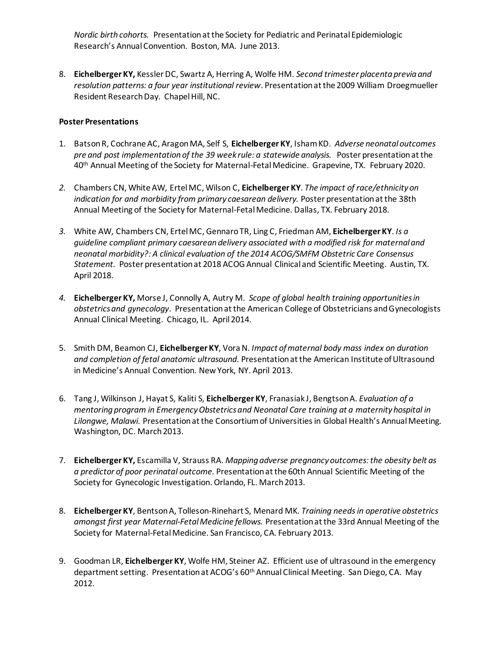*Nordic birth cohorts.* Presentation at the Society for Pediatric and Perinatal Epidemiologic Research's Annual Convention. Boston, MA. June 2013.

8. **Eichelberger KY,** Kessler DC, Swartz A, Herring A, Wolfe HM. *Second trimester placenta previa and resolution patterns: a four year institutional review*. Presentation at the 2009 William Droegmueller Resident Research Day. Chapel Hill, NC.

#### **Poster Presentations**

- 1. Batson R, Cochrane AC, Aragon MA, Self S, **Eichelberger KY**, Isham KD. *Adverse neonatal outcomes pre and post implementation of the 39 week rule: a statewide analysis.* Poster presentation at the 40<sup>th</sup> Annual Meeting of the Society for Maternal-Fetal Medicine. Grapevine, TX. February 2020.
- *2.* Chambers CN, White AW, Ertel MC, Wilson C, **Eichelberger KY**. *The impact of race/ethnicity on*  indication for and morbidity from primary caesarean delivery. Poster presentation at the 38th Annual Meeting of the Society for Maternal-Fetal Medicine. Dallas, TX. February 2018.
- *3.* White AW, Chambers CN, Ertel MC, Gennaro TR, Ling C, Friedman AM, **Eichelberger KY**. *Is a guideline compliant primary caesarean delivery associated with a modified risk for maternal and neonatal morbidity?: A clinical evaluation of the 2014 ACOG/SMFM Obstetric Care Consensus Statement.* Poster presentation at 2018 ACOG Annual Clinical and Scientific Meeting. Austin, TX. April 2018.
- *4.* **Eichelberger KY,** Morse J, Connolly A, Autry M. *Scope of global health training opportunities in obstetrics and gynecology*. Presentation at the American College of Obstetricians and Gynecologists Annual Clinical Meeting. Chicago, IL. April 2014.
- 5. Smith DM, Beamon CJ, **Eichelberger KY**, Vora N. *Impact of maternal body mass index on duration and completion of fetal anatomic ultrasound.* Presentation at the American Institute of Ultrasound in Medicine's Annual Convention. New York, NY. April 2013.
- 6. Tang J, Wilkinson J, Hayat S, Kaliti S, **Eichelberger KY**, Franasiak J, Bengtson A. *Evaluation of a mentoring program in Emergency Obstetrics and Neonatal Care training at a maternity hospital in Lilongwe, Malawi.* Presentation at the Consortium of Universities in Global Health's Annual Meeting. Washington, DC. March 2013.
- 7. **Eichelberger KY,** Escamilla V, Strauss RA. *Mapping adverse pregnancy outcomes: the obesity belt as a predictor of poor perinatal outcome.* Presentation at the 60th Annual Scientific Meeting of the Society for Gynecologic Investigation. Orlando, FL. March 2013.
- 8. **Eichelberger KY**, Bentson A, Tolleson-Rinehart S, Menard MK. *Training needs in operative obstetrics amongst first year Maternal-Fetal Medicine fellows.* Presentation at the 33rd Annual Meeting of the Society for Maternal-Fetal Medicine. San Francisco, CA. February 2013.
- 9. Goodman LR, **Eichelberger KY**, Wolfe HM, Steiner AZ. Efficient use of ultrasound in the emergency department setting. Presentation at ACOG's 60th Annual Clinical Meeting. San Diego, CA. May 2012.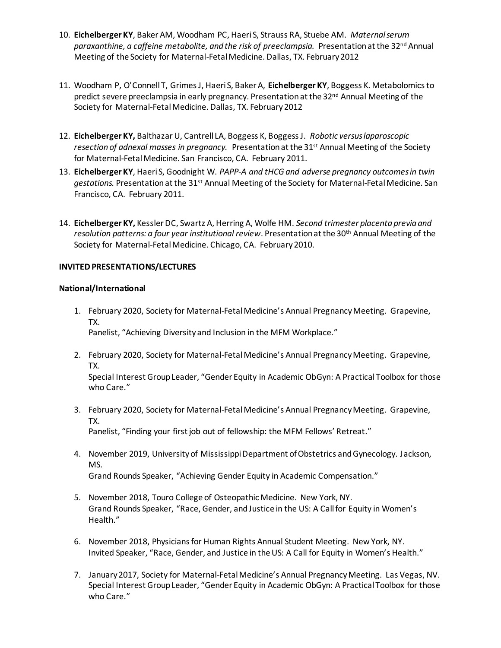- 10. **Eichelberger KY**, Baker AM, Woodham PC, Haeri S, Strauss RA, Stuebe AM. *Maternal serum*  paraxanthine, a caffeine metabolite, and the risk of preeclampsia. Presentation at the 32<sup>nd</sup> Annual Meeting of the Society for Maternal-Fetal Medicine. Dallas, TX. February 2012
- 11. Woodham P, O'Connell T, Grimes J, Haeri S, Baker A, **Eichelberger KY**, Boggess K. Metabolomics to predict severe preeclampsia in early pregnancy. Presentation at the 32<sup>nd</sup> Annual Meeting of the Society for Maternal-Fetal Medicine. Dallas, TX. February 2012
- 12. **Eichelberger KY,** Balthazar U, Cantrell LA, Boggess K, Boggess J. *Robotic versus laparoscopic*  resection of adnexal masses in pregnancy. Presentation at the 31<sup>st</sup> Annual Meeting of the Society for Maternal-Fetal Medicine. San Francisco, CA. February 2011.
- 13. **Eichelberger KY**, Haeri S, Goodnight W. *PAPP-A and tHCG and adverse pregnancy outcomes in twin gestations.* Presentation at the 31st Annual Meeting of the Society for Maternal-Fetal Medicine. San Francisco, CA. February 2011.
- 14. **Eichelberger KY,** Kessler DC, Swartz A, Herring A, Wolfe HM. *Second trimester placenta previa and resolution patterns: a four year institutional review*. Presentation at the 30th Annual Meeting of the Society for Maternal-Fetal Medicine. Chicago, CA. February 2010.

#### **INVITED PRESENTATIONS/LECTURES**

#### **National/International**

- 1. February 2020, Society for Maternal-Fetal Medicine's Annual Pregnancy Meeting. Grapevine, TX. Panelist, "Achieving Diversity and Inclusion in the MFM Workplace."
- 2. February 2020, Society for Maternal-Fetal Medicine's Annual Pregnancy Meeting. Grapevine, TX.

Special Interest Group Leader, "Gender Equity in Academic ObGyn: A Practical Toolbox for those who Care."

3. February 2020, Society for Maternal-Fetal Medicine's Annual Pregnancy Meeting. Grapevine, TX.

Panelist, "Finding your first job out of fellowship: the MFM Fellows' Retreat."

- 4. November 2019, University of Mississippi Department of Obstetrics and Gynecology. Jackson, MS. Grand Rounds Speaker, "Achieving Gender Equity in Academic Compensation."
- 5. November 2018, Touro College of Osteopathic Medicine. New York, NY. Grand Rounds Speaker, "Race, Gender, and Justice in the US: A Call for Equity in Women's Health."
- 6. November 2018, Physicians for Human Rights Annual Student Meeting. New York, NY. Invited Speaker, "Race, Gender, and Justice in the US: A Call for Equity in Women's Health."
- 7. January 2017, Society for Maternal-Fetal Medicine's Annual Pregnancy Meeting. Las Vegas, NV. Special Interest Group Leader, "Gender Equity in Academic ObGyn: A Practical Toolbox for those who Care."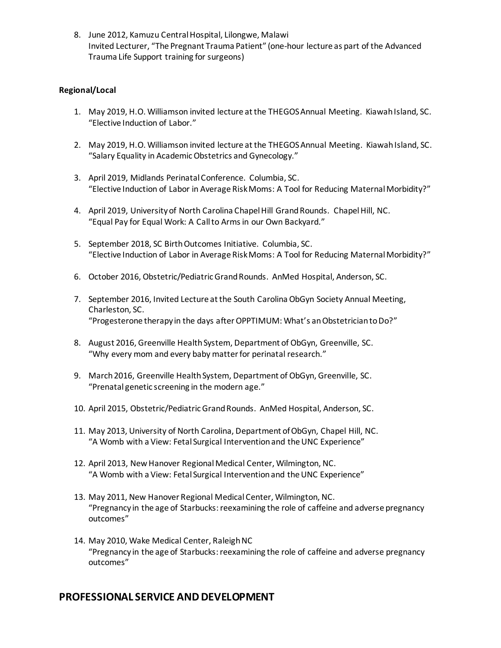8. June 2012, Kamuzu Central Hospital, Lilongwe, Malawi Invited Lecturer, "The Pregnant Trauma Patient" (one-hour lecture as part of the Advanced Trauma Life Support training for surgeons)

#### **Regional/Local**

- 1. May 2019, H.O. Williamson invited lecture at the THEGOS Annual Meeting. Kiawah Island, SC. "Elective Induction of Labor."
- 2. May 2019, H.O. Williamson invited lecture at the THEGOS Annual Meeting. Kiawah Island, SC. "Salary Equality in Academic Obstetrics and Gynecology."
- 3. April 2019, Midlands Perinatal Conference. Columbia, SC. "Elective Induction of Labor in Average Risk Moms: A Tool for Reducing Maternal Morbidity?"
- 4. April 2019, University of North Carolina Chapel Hill Grand Rounds. Chapel Hill, NC. "Equal Pay for Equal Work: A Call to Arms in our Own Backyard."
- 5. September 2018, SC Birth Outcomes Initiative. Columbia, SC. "Elective Induction of Labor in Average Risk Moms: A Tool for Reducing Maternal Morbidity?"
- 6. October 2016, Obstetric/Pediatric Grand Rounds. AnMed Hospital, Anderson, SC.
- 7. September 2016, Invited Lecture at the South Carolina ObGyn Society Annual Meeting, Charleston, SC. "Progesterone therapy in the days after OPPTIMUM: What's an Obstetrician to Do?"
- 8. August 2016, Greenville Health System, Department of ObGyn, Greenville, SC. "Why every mom and every baby matter for perinatal research."
- 9. March 2016, Greenville Health System, Department of ObGyn, Greenville, SC. "Prenatal genetic screening in the modern age."
- 10. April 2015, Obstetric/Pediatric Grand Rounds. AnMed Hospital, Anderson, SC.
- 11. May 2013, University of North Carolina, Department of ObGyn, Chapel Hill, NC. "A Womb with a View: Fetal Surgical Intervention and the UNC Experience"
- 12. April 2013, New Hanover Regional Medical Center, Wilmington, NC. "A Womb with a View: Fetal Surgical Intervention and the UNC Experience"
- 13. May 2011, New Hanover Regional Medical Center, Wilmington, NC. "Pregnancy in the age of Starbucks: reexamining the role of caffeine and adverse pregnancy outcomes"
- 14. May 2010, Wake Medical Center, Raleigh NC "Pregnancy in the age of Starbucks: reexamining the role of caffeine and adverse pregnancy outcomes"

### **PROFESSIONAL SERVICE AND DEVELOPMENT**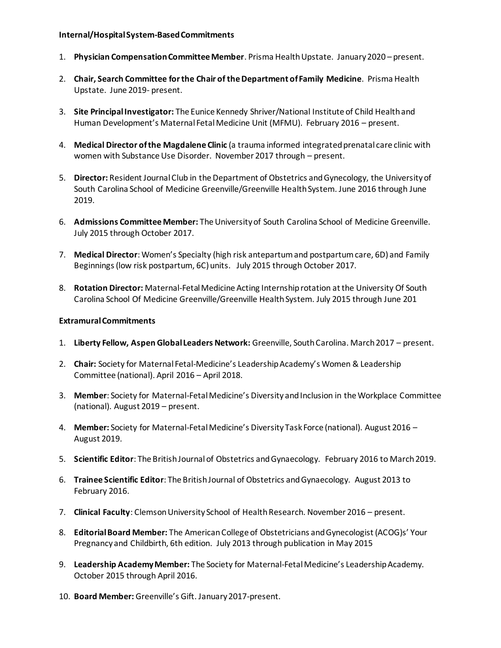#### **Internal/Hospital System-BasedCommitments**

- 1. **Physician Compensation Committee Member**. Prisma Health Upstate. January 2020 present.
- 2. **Chair, Search Committee for the Chair of the Department of Family Medicine**. Prisma Health Upstate. June 2019- present.
- 3. **Site Principal Investigator:** The Eunice Kennedy Shriver/National Institute of Child Health and Human Development's Maternal Fetal Medicine Unit (MFMU). February 2016 – present.
- 4. **Medical Director of the Magdalene Clinic** (a trauma informed integrated prenatal care clinic with women with Substance Use Disorder. November 2017 through – present.
- 5. **Director:** Resident Journal Club in the Department of Obstetrics and Gynecology, the University of South Carolina School of Medicine Greenville/Greenville Health System. June 2016 through June 2019.
- 6. **Admissions Committee Member:** The University of South Carolina School of Medicine Greenville. July 2015 through October 2017.
- 7. **Medical Director**: Women's Specialty (high risk antepartum and postpartum care, 6D) and Family Beginnings (low risk postpartum, 6C) units. July 2015 through October 2017.
- 8. **Rotation Director:** Maternal-Fetal Medicine Acting Internship rotation at the University Of South Carolina School Of Medicine Greenville/Greenville Health System. July 2015 through June 201

#### **Extramural Commitments**

- 1. **Liberty Fellow, Aspen Global Leaders Network:** Greenville, South Carolina. March 2017 present.
- 2. **Chair:** Society for Maternal Fetal-Medicine's Leadership Academy's Women & Leadership Committee (national). April 2016 – April 2018.
- 3. **Member**: Society for Maternal-Fetal Medicine's Diversity and Inclusion in the Workplace Committee (national). August 2019 – present.
- 4. **Member:** Society for Maternal-Fetal Medicine's Diversity Task Force (national). August 2016 August 2019.
- 5. **Scientific Editor**: The British Journal of Obstetrics and Gynaecology. February 2016 to March 2019.
- 6. **Trainee Scientific Editor**: The British Journal of Obstetrics and Gynaecology. August 2013 to February 2016.
- 7. **Clinical Faculty**: Clemson University School of Health Research. November 2016 present.
- 8. **Editorial Board Member:** The American College of Obstetricians and Gynecologist (ACOG)s' Your Pregnancy and Childbirth, 6th edition. July 2013 through publication in May 2015
- 9. **Leadership Academy Member:** The Society for Maternal-Fetal Medicine's Leadership Academy. October 2015 through April 2016.
- 10. **Board Member:** Greenville's Gift. January 2017-present.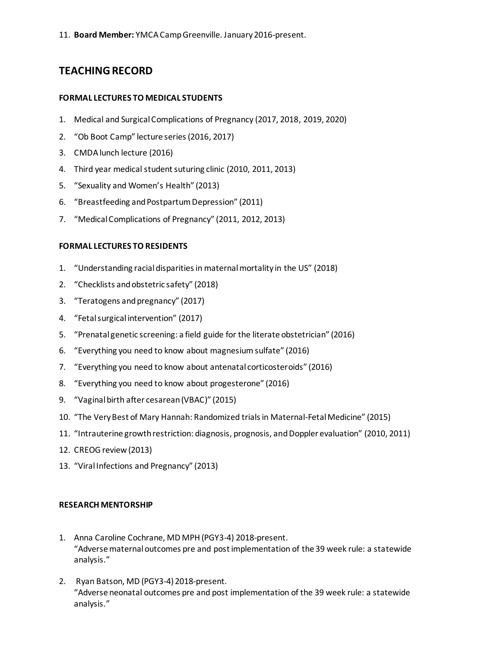11. **Board Member:** YMCA Camp Greenville. January 2016-present.

# **TEACHING RECORD**

#### **FORMAL LECTURES TO MEDICAL STUDENTS**

- 1. Medical and Surgical Complications of Pregnancy (2017, 2018, 2019, 2020)
- 2. "Ob Boot Camp" lecture series (2016, 2017)
- 3. CMDA lunch lecture (2016)
- 4. Third year medical student suturing clinic (2010, 2011, 2013)
- 5. "Sexuality and Women's Health" (2013)
- 6. "Breastfeeding and Postpartum Depression" (2011)
- 7. "Medical Complications of Pregnancy" (2011, 2012, 2013)

#### **FORMAL LECTURES TO RESIDENTS**

- 1. "Understanding racial disparities in maternal mortality in the US" (2018)
- 2. "Checklists and obstetric safety" (2018)
- 3. "Teratogens and pregnancy" (2017)
- 4. "Fetal surgical intervention" (2017)
- 5. "Prenatal genetic screening: a field guide for the literate obstetrician" (2016)
- 6. "Everything you need to know about magnesium sulfate" (2016)
- 7. "Everything you need to know about antenatal corticosteroids" (2016)
- 8. "Everything you need to know about progesterone" (2016)
- 9. "Vaginal birth after cesarean (VBAC)" (2015)
- 10. "The Very Best of Mary Hannah: Randomized trials in Maternal-Fetal Medicine" (2015)
- 11. "Intrauterine growth restriction: diagnosis, prognosis, and Doppler evaluation" (2010, 2011)
- 12. CREOG review (2013)
- 13. "Viral Infections and Pregnancy" (2013)

#### **RESEARCH MENTORSHIP**

- 1. Anna Caroline Cochrane, MD MPH (PGY3-4) 2018-present. "Adverse maternal outcomes pre and post implementation of the 39 week rule: a statewide analysis."
- 2. Ryan Batson, MD (PGY3-4) 2018-present. "Adverse neonatal outcomes pre and post implementation of the 39 week rule: a statewide analysis."